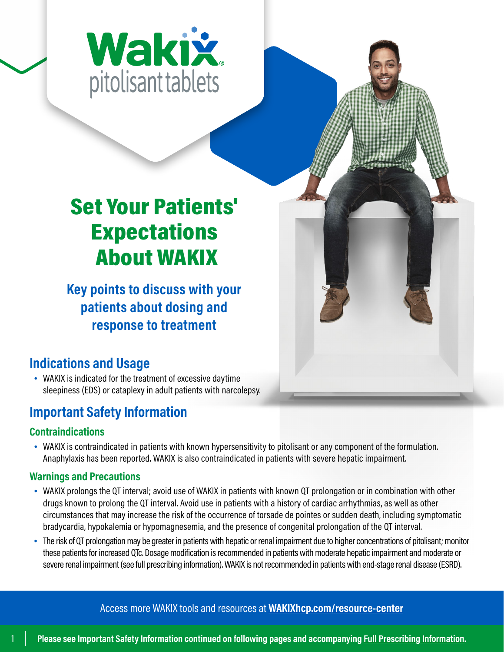

## Set Your Patients' Expectations About WAKIX

**Key points to discuss with your patients about dosing and response to treatment**

## **Indications and Usage**

• WAKIX is indicated for the treatment of excessive daytime sleepiness (EDS) or cataplexy in adult patients with narcolepsy.

## **Important Safety Information**

## **Contraindications**

• WAKIX is contraindicated in patients with known hypersensitivity to pitolisant or any component of the formulation. Anaphylaxis has been reported. WAKIX is also contraindicated in patients with severe hepatic impairment.

## **Warnings and Precautions**

- WAKIX prolongs the QT interval; avoid use of WAKIX in patients with known QT prolongation or in combination with other drugs known to prolong the QT interval. Avoid use in patients with a history of cardiac arrhythmias, as well as other circumstances that may increase the risk of the occurrence of torsade de pointes or sudden death, including symptomatic bradycardia, hypokalemia or hypomagnesemia, and the presence of congenital prolongation of the QT interval.
- The risk of QT prolongation may be greater in patients with hepatic or renal impairment due to higher concentrations of pitolisant; monitor these patients for increased QTc. Dosage modification is recommended in patients with moderate hepatic impairment and moderate or severe renal impairment (see full prescribing information). WAKIX is not recommended in patients with end-stage renal disease (ESRD).

[Access more WAKIX tools and resources at](https://wakixhcp.com/resource-center/) **WAKIXhcp.com/resource-center**



1 **[Please see Important Safety Information continued on following pages and accompanying Full Prescribing Information.](https://wakixhcp.com/prescribing-information/)**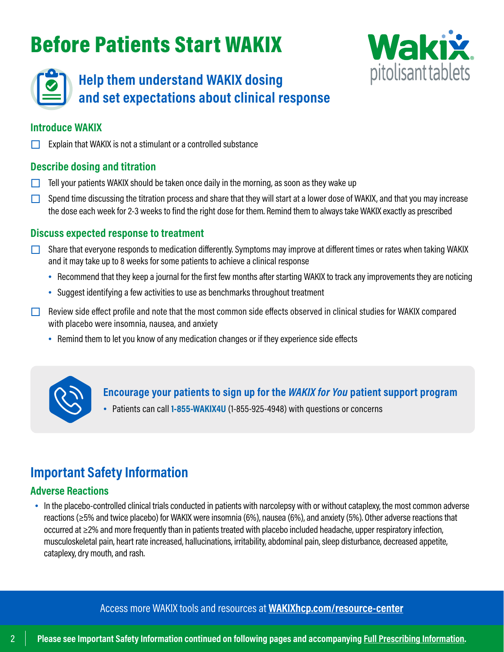## Before Patients Start WAKIX





## **Help them understand WAKIX dosing and set expectations about clinical response**

#### **Introduce WAKIX**

Explain that WAKIX is not a stimulant or a controlled substance

#### **Describe dosing and titration**

- $\Box$  Tell your patients WAKIX should be taken once daily in the morning, as soon as they wake up
- $\Box$  Spend time discussing the titration process and share that they will start at a lower dose of WAKIX, and that you may increase the dose each week for 2-3 weeks to find the right dose for them. Remind them to always take WAKIX exactly as prescribed

#### **Discuss expected response to treatment**

- Share that everyone responds to medication differently. Symptoms may improve at different times or rates when taking WAKIX and it may take up to 8 weeks for some patients to achieve a clinical response
	- Recommend that they keep a journal for the first few months after starting WAKIX to track any improvements they are noticing
	- Suggest identifying a few activities to use as benchmarks throughout treatment
- $\Box$  Review side effect profile and note that the most common side effects observed in clinical studies for WAKIX compared with placebo were insomnia, nausea, and anxiety
	- Remind them to let you know of any medication changes or if they experience side effects



**Encourage your patients to sign up for the** *WAKIX for You* **patient support program**

• Patients can call **1-855-WAKIX4U** [\(1-855-925-4948\) w](tel:18559254948)ith questions or concerns

## **Important Safety Information**

#### **Adverse Reactions**

• In the placebo-controlled clinical trials conducted in patients with narcolepsy with or without cataplexy, the most common adverse reactions (≥5% and twice placebo) for WAKIX were insomnia (6%), nausea (6%), and anxiety (5%). Other adverse reactions that occurred at ≥2% and more frequently than in patients treated with placebo included headache, upper respiratory infection, musculoskeletal pain, heart rate increased, hallucinations, irritability, abdominal pain, sleep disturbance, decreased appetite, cataplexy, dry mouth, and rash.

[Access more WAKIX tools and resources at](https://wakixhcp.com/resource-center/) **WAKIXhcp.com/resource-center**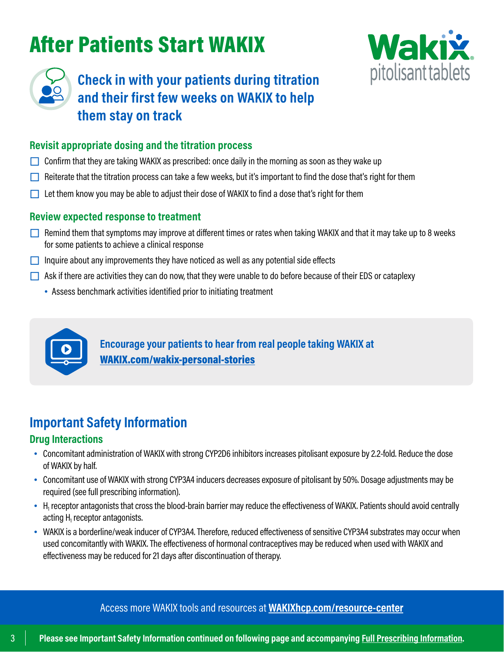## After Patients Start WAKIX





## **Check in with your patients during titration and their first few weeks on WAKIX to help them stay on track**

#### **Revisit appropriate dosing and the titration process**

- $\Box$  Confirm that they are taking WAKIX as prescribed: once daily in the morning as soon as they wake up
- Reiterate that the titration process can take a few weeks, but it's important to find the dose that's right for them
- $\Box$  Let them know you may be able to adjust their dose of WAKIX to find a dose that's right for them

#### **Review expected response to treatment**

- $\square$  Remind them that symptoms may improve at different times or rates when taking WAKIX and that it may take up to 8 weeks for some patients to achieve a clinical response
- $\Box$  Inquire about any improvements they have noticed as well as any potential side effects
- $\Box$  Ask if there are activities they can do now, that they were unable to do before because of their EDS or cataplexy
	- Assess benchmark activities identified prior to initiating treatment



**Encourage your patients to hear from real people taking WAKIX at**  [WAKIX.com/wakix-personal-stories](https://wakix.com/wakix-personal-stories)

## **Important Safety Information**

#### **Drug Interactions**

- Concomitant administration of WAKIX with strong CYP2D6 inhibitors increases pitolisant exposure by 2.2-fold. Reduce the dose of WAKIX by half.
- Concomitant use of WAKIX with strong CYP3A4 inducers decreases exposure of pitolisant by 50%. Dosage adjustments may be required (see full prescribing information).
- $\bullet$  H<sub>1</sub> receptor antagonists that cross the blood-brain barrier may reduce the effectiveness of WAKIX. Patients should avoid centrally acting  $H_1$  receptor antagonists.
- WAKIX is a borderline/weak inducer of CYP3A4. Therefore, reduced effectiveness of sensitive CYP3A4 substrates may occur when used concomitantly with WAKIX. The effectiveness of hormonal contraceptives may be reduced when used with WAKIX and effectiveness may be reduced for 21 days after discontinuation of therapy.

[Access more WAKIX tools and resources at](https://wakixhcp.com/resource-center/) **WAKIXhcp.com/resource-center**